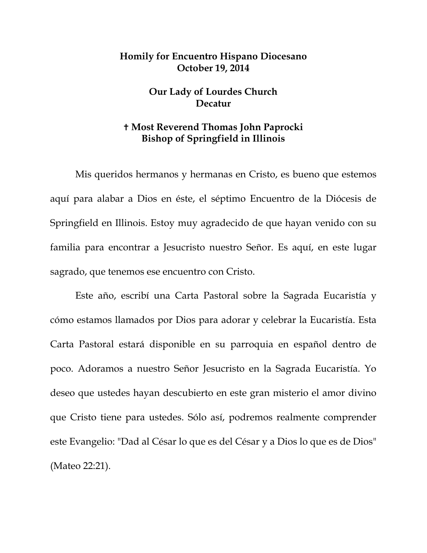## **Homily for Encuentro Hispano Diocesano October 19, 2014**

## **Our Lady of Lourdes Church Decatur**

## **Most Reverend Thomas John Paprocki Bishop of Springfield in Illinois**

Mis queridos hermanos y hermanas en Cristo, es bueno que estemos aquí para alabar a Dios en éste, el séptimo Encuentro de la Diócesis de Springfield en Illinois. Estoy muy agradecido de que hayan venido con su familia para encontrar a Jesucristo nuestro Señor. Es aquí, en este lugar sagrado, que tenemos ese encuentro con Cristo.

Este año, escribí una Carta Pastoral sobre la Sagrada Eucaristía y cómo estamos llamados por Dios para adorar y celebrar la Eucaristía. Esta Carta Pastoral estará disponible en su parroquia en español dentro de poco. Adoramos a nuestro Señor Jesucristo en la Sagrada Eucaristía. Yo deseo que ustedes hayan descubierto en este gran misterio el amor divino que Cristo tiene para ustedes. Sólo así, podremos realmente comprender este Evangelio: "Dad al César lo que es del César y a Dios lo que es de Dios" (Mateo 22:21).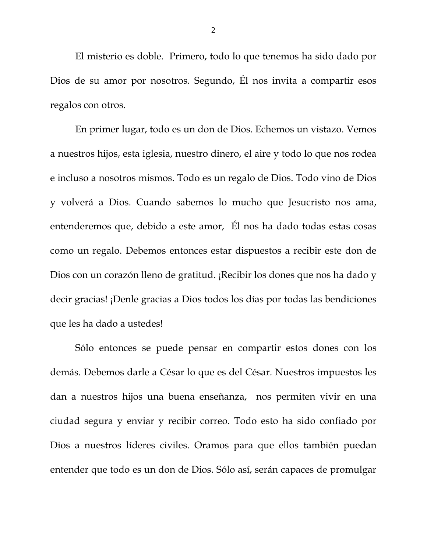El misterio es doble. Primero, todo lo que tenemos ha sido dado por Dios de su amor por nosotros. Segundo, Él nos invita a compartir esos regalos con otros.

En primer lugar, todo es un don de Dios. Echemos un vistazo. Vemos a nuestros hijos, esta iglesia, nuestro dinero, el aire y todo lo que nos rodea e incluso a nosotros mismos. Todo es un regalo de Dios. Todo vino de Dios y volverá a Dios. Cuando sabemos lo mucho que Jesucristo nos ama, entenderemos que, debido a este amor, Él nos ha dado todas estas cosas como un regalo. Debemos entonces estar dispuestos a recibir este don de Dios con un corazón lleno de gratitud. ¡Recibir los dones que nos ha dado y decir gracias! ¡Denle gracias a Dios todos los días por todas las bendiciones que les ha dado a ustedes!

Sólo entonces se puede pensar en compartir estos dones con los demás. Debemos darle a César lo que es del César. Nuestros impuestos les dan a nuestros hijos una buena enseñanza, nos permiten vivir en una ciudad segura y enviar y recibir correo. Todo esto ha sido confiado por Dios a nuestros líderes civiles. Oramos para que ellos también puedan entender que todo es un don de Dios. Sólo así, serán capaces de promulgar

2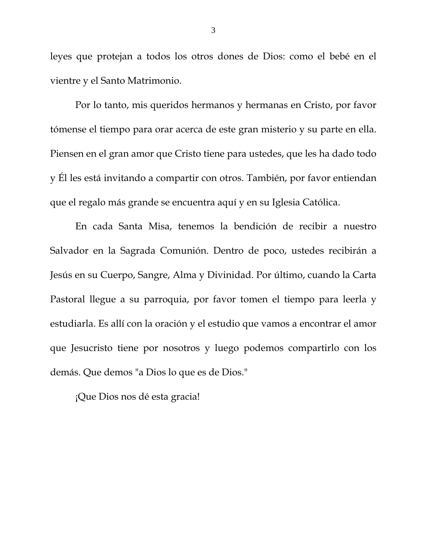leyes que protejan a todos los otros dones de Dios: como el bebé en el vientre y el Santo Matrimonio.

Por lo tanto, mis queridos hermanos y hermanas en Cristo, por favor tómense el tiempo para orar acerca de este gran misterio y su parte en ella. Piensen en el gran amor que Cristo tiene para ustedes, que les ha dado todo y Él les está invitando a compartir con otros. También, por favor entiendan que el regalo más grande se encuentra aquí y en su Iglesia Católica.

En cada Santa Misa, tenemos la bendición de recibir a nuestro Salvador en la Sagrada Comunión. Dentro de poco, ustedes recibirán a Jesús en su Cuerpo, Sangre, Alma y Divinidad. Por último, cuando la Carta Pastoral llegue a su parroquia, por favor tomen el tiempo para leerla y estudiarla. Es allí con la oración y el estudio que vamos a encontrar el amor que Jesucristo tiene por nosotros y luego podemos compartirlo con los demás. Que demos "a Dios lo que es de Dios."

¡Que Dios nos dé esta gracia!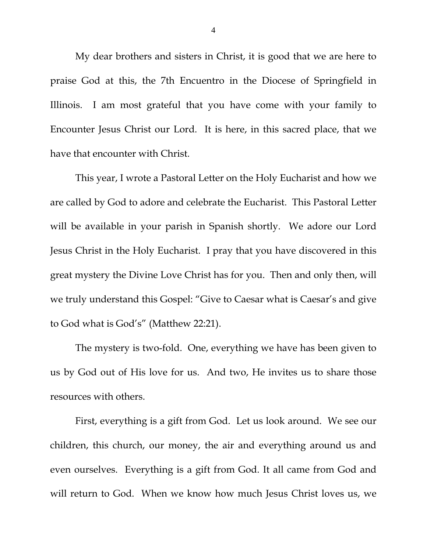My dear brothers and sisters in Christ, it is good that we are here to praise God at this, the 7th Encuentro in the Diocese of Springfield in Illinois. I am most grateful that you have come with your family to Encounter Jesus Christ our Lord. It is here, in this sacred place, that we have that encounter with Christ.

This year, I wrote a Pastoral Letter on the Holy Eucharist and how we are called by God to adore and celebrate the Eucharist. This Pastoral Letter will be available in your parish in Spanish shortly. We adore our Lord Jesus Christ in the Holy Eucharist. I pray that you have discovered in this great mystery the Divine Love Christ has for you. Then and only then, will we truly understand this Gospel: "Give to Caesar what is Caesar's and give to God what is God's" (Matthew 22:21).

The mystery is two-fold. One, everything we have has been given to us by God out of His love for us. And two, He invites us to share those resources with others.

First, everything is a gift from God. Let us look around. We see our children, this church, our money, the air and everything around us and even ourselves. Everything is a gift from God. It all came from God and will return to God. When we know how much Jesus Christ loves us, we

4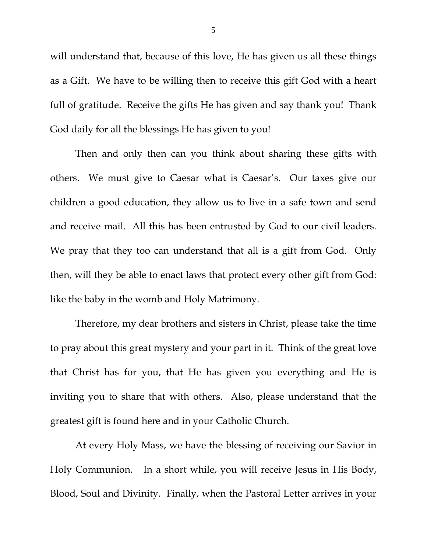will understand that, because of this love, He has given us all these things as a Gift. We have to be willing then to receive this gift God with a heart full of gratitude. Receive the gifts He has given and say thank you! Thank God daily for all the blessings He has given to you!

Then and only then can you think about sharing these gifts with others. We must give to Caesar what is Caesar's. Our taxes give our children a good education, they allow us to live in a safe town and send and receive mail. All this has been entrusted by God to our civil leaders. We pray that they too can understand that all is a gift from God. Only then, will they be able to enact laws that protect every other gift from God: like the baby in the womb and Holy Matrimony.

Therefore, my dear brothers and sisters in Christ, please take the time to pray about this great mystery and your part in it. Think of the great love that Christ has for you, that He has given you everything and He is inviting you to share that with others. Also, please understand that the greatest gift is found here and in your Catholic Church.

At every Holy Mass, we have the blessing of receiving our Savior in Holy Communion. In a short while, you will receive Jesus in His Body, Blood, Soul and Divinity. Finally, when the Pastoral Letter arrives in your